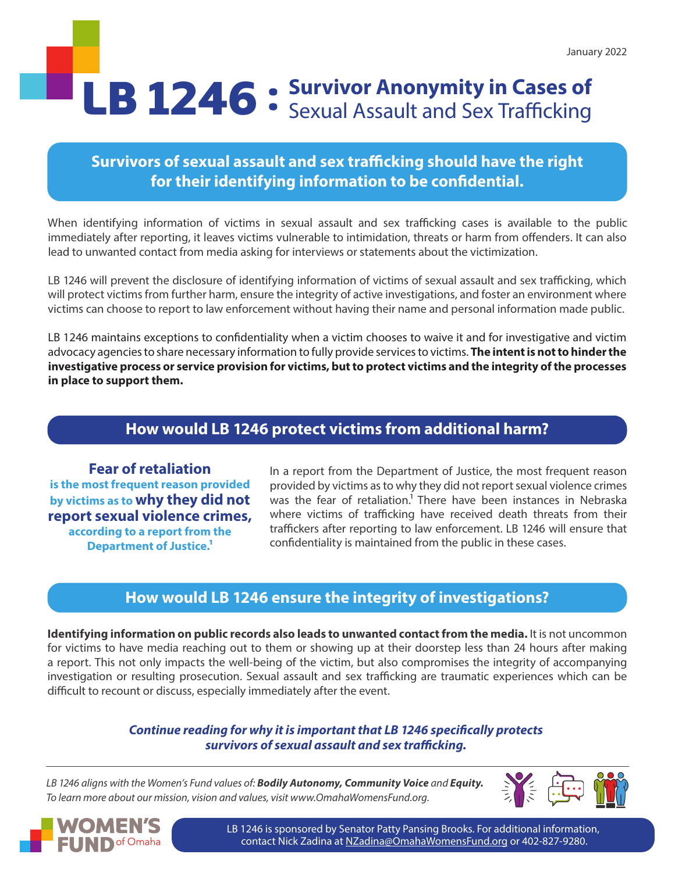# LB 1246 • Survivor Anonymity in Cases of **LB 1246** • Sexual Assault and Sex Trafficking

# **Survivors of sexual assault and sex trafficking should have the right for their identifying information to be confidential.**

When identifying information of victims in sexual assault and sex trafficking cases is available to the public immediately after reporting, it leaves victims vulnerable to intimidation, threats or harm from offenders. It can also lead to unwanted contact from media asking for interviews or statements about the victimization.

LB 1246 will prevent the disclosure of identifying information of victims of sexual assault and sex trafficking, which will protect victims from further harm, ensure the integrity of active investigations, and foster an environment where victims can choose to report to law enforcement without having their name and personal information made public.

LB 1246 maintains exceptions to confidentiality when a victim chooses to waive it and for investigative and victim advocacy agencies to share necessary information to fully provide services to victims. **The intent is not to hinder the investigative process or service provision for victims, but to protect victims and the integrity of the processes in place to support them.** 

## **How would LB 1246 protect victims from additional harm?**

**Fear of retaliation is the most frequent reason provided by victims as to why they did not report sexual violence crimes, according to a report from the Department of Justice.1**

In a report from the Department of Justice, the most frequent reason provided by victims as to why they did not report sexual violence crimes was the fear of retaliation.<sup>1</sup> There have been instances in Nebraska where victims of trafficking have received death threats from their traffickers after reporting to law enforcement. LB 1246 will ensure that confidentiality is maintained from the public in these cases.

### **How would LB 1246 ensure the integrity of investigations?**

**Identifying information on public records also leads to unwanted contact from the media.** It is not uncommon for victims to have media reaching out to them or showing up at their doorstep less than 24 hours after making a report. This not only impacts the well-being of the victim, but also compromises the integrity of accompanying investigation or resulting prosecution. Sexual assault and sex trafficking are traumatic experiences which can be difficult to recount or discuss, especially immediately after the event.

#### *Continue reading for why it is important that LB 1246 specifically protects survivors of sexual assault and sex trafficking.*

*LB 1246 aligns with the Women's Fund values of: Bodily Autonomy, Community Voice and Equity. To learn more about our mission, vision and values, visit www.OmahaWomensFund.org.*





LB 1246 is sponsored by Senator Patty Pansing Brooks. For additional information, contact Nick Zadina at [NZadina@OmahaWomensFund.org](mailto:NZadina%40OmahaWomensFund.org?subject=) or 402-827-9280.